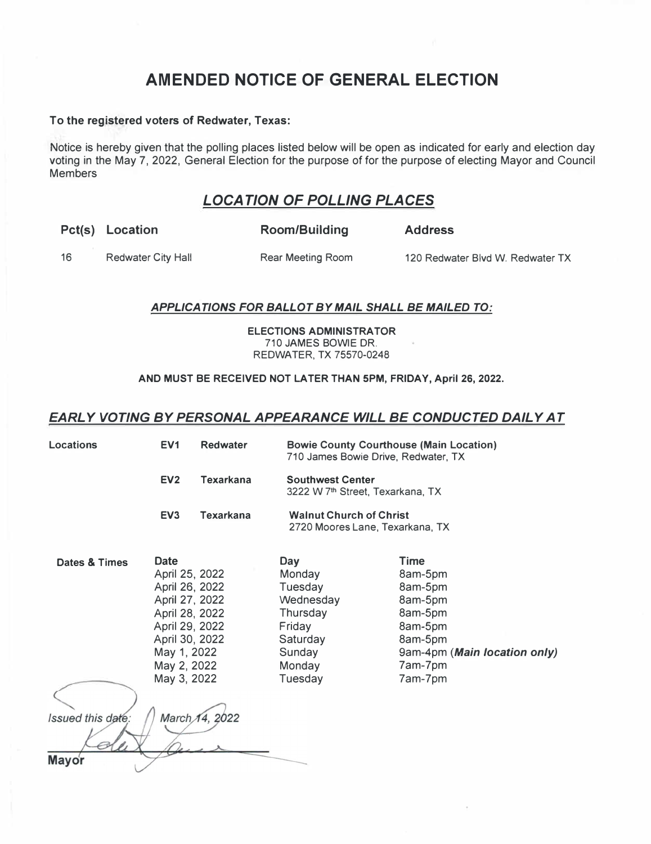# **AMENDED NOTICE OF GENERAL ELECTION**

#### **To the registered voters of Redwater, Texas:**

Notice is hereby given that the polling places listed below will be open as indicated for early and election day voting in the May 7, 2022, General Election for the purpose of for the purpose of electing Mayor and Council Members

## *LOCATION OF POLLING PLACES*

|     | Pct(s) Location           | Room/Building     | <b>Address</b>                   |
|-----|---------------------------|-------------------|----------------------------------|
| -16 | <b>Redwater City Hall</b> | Rear Meeting Room | 120 Redwater Blvd W. Redwater TX |

#### *APPLICATIONS FOR BALLOT BY MAIL SHALL BE MAILED TO:*

**ELECTIONS ADMINISTRATOR**  710 JAMES BOWIE DR. REDWATER, TX 75570-0248

#### **AND MUST BE RECEIVED NOT LATER THAN 5PM, FRIDAY, April 26, 2022.**

### *EARLY VOTING BY PERSONAL APPEARANCE WILL BE CONDUCTED DAILY AT*

| <b>Locations</b>                            | EV <sub>1</sub>                                                                                                                                                                   | <b>Redwater</b>  | <b>Bowie County Courthouse (Main Location)</b><br>710 James Bowie Drive, Redwater, TX                         |                                                                                                                                     |  |
|---------------------------------------------|-----------------------------------------------------------------------------------------------------------------------------------------------------------------------------------|------------------|---------------------------------------------------------------------------------------------------------------|-------------------------------------------------------------------------------------------------------------------------------------|--|
|                                             | EV <sub>2</sub>                                                                                                                                                                   | <b>Texarkana</b> | <b>Southwest Center</b><br>3222 W 7 <sup>th</sup> Street, Texarkana, TX                                       |                                                                                                                                     |  |
|                                             | EV <sub>3</sub>                                                                                                                                                                   | <b>Texarkana</b> | <b>Walnut Church of Christ</b><br>2720 Moores Lane, Texarkana, TX                                             |                                                                                                                                     |  |
| Dates & Times<br>Issued this date:<br>Mayor | <b>Date</b><br>April 25, 2022<br>April 26, 2022<br>April 27, 2022<br>April 28, 2022<br>April 29, 2022<br>April 30, 2022<br>May 1, 2022<br>May 2, 2022<br>May 3, 2022<br>March 14, |                  | <b>Day</b><br>Monday<br>Tuesday<br>Wednesday<br>Thursday<br>Friday<br>Saturday<br>Sunday<br>Monday<br>Tuesday | <b>Time</b><br>8am-5pm<br>8am-5pm<br>8am-5pm<br>8am-5pm<br>8am-5pm<br>8am-5pm<br>9am-4pm (Main location only)<br>7am-7pm<br>7am-7pm |  |